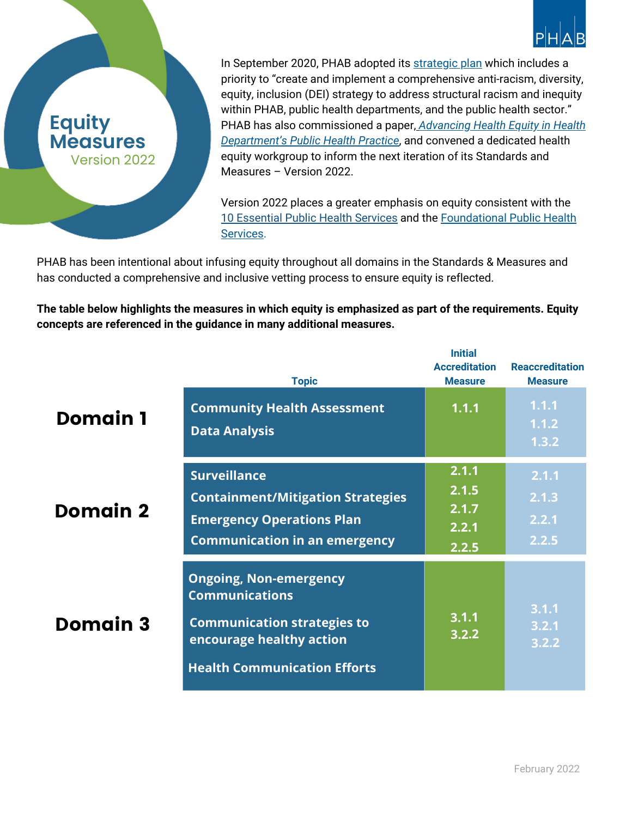

## priority to "create and implement a comprehensive anti-racism, diversity, equity, inclusion (DEI) strategy to address structural racism and inequity within PHAB, public health departments, and the public health sector." PHAB has also [commissioned](https://phaboard.org/wp-content/uploads/2019/01/HIP-Paper-Final.pdf) a paper[,](https://phaboard.org/wp-content/uploads/2019/01/HIP-Paper-Final.pdf) *Advancing Health Equity in Health Department's Public Health Practice*, and convened a dedicated health equity workgroup to inform the next iteration of its Standards and Measures – Version 2022.

In September 2020, PHAB adopted its [strategic](https://phaboard.org/wp-content/uploads/PHAB_Strategic-Plan-2020-2022-Executive-Summary-1.pdf) plan which includes a

Version 2022 places a greater emphasis on equity consistent with the 10 [Essential](https://phnci.org/national-frameworks/10-ephs) Public Health Services and the [Foundational](https://phnci.org/transformation/fphs) Public Health Services.

PHAB has been intentional about infusing equity throughout all domains in the Standards & Measures and has conducted a comprehensive and inclusive vetting process to ensure equity is reflected.

**Equity**

**Measures**

Version 2022

**The table below highlights the measures in which equity is emphasized as part of the requirements. Equity concepts are referenced in the guidance in many additional measures.**

|                 | <b>Topic</b>                                                                                                                                                    | <b>Initial</b><br><b>Accreditation</b><br><b>Measure</b> | <b>Reaccreditation</b><br><b>Measure</b> |
|-----------------|-----------------------------------------------------------------------------------------------------------------------------------------------------------------|----------------------------------------------------------|------------------------------------------|
| <b>Domain 1</b> | <b>Community Health Assessment</b><br><b>Data Analysis</b>                                                                                                      | 1.1.1                                                    | 1.1.1<br>1.1.2<br>1.3.2                  |
| <b>Domain 2</b> | <b>Surveillance</b><br><b>Containment/Mitigation Strategies</b><br><b>Emergency Operations Plan</b><br><b>Communication in an emergency</b>                     | 2.1.1<br>2.1.5<br>2.1.7<br>2.2.1<br>2.2.5                | 2.1.1<br>2.1.3<br>2.2.1<br>2.2.5         |
| <b>Domain 3</b> | <b>Ongoing, Non-emergency</b><br><b>Communications</b><br><b>Communication strategies to</b><br>encourage healthy action<br><b>Health Communication Efforts</b> | 3.1.1<br>3.2.2                                           | 3.1.1<br>3.2.1<br>3.2.2                  |